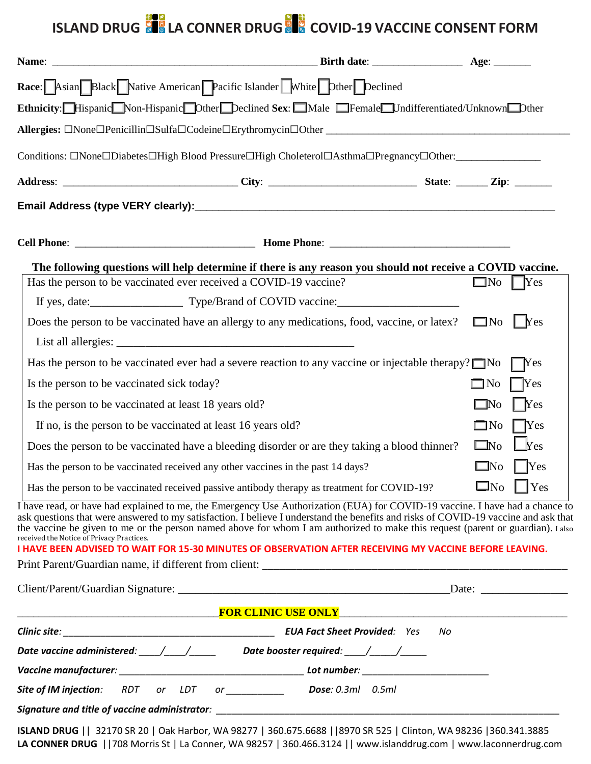## **ISLAND DRUG LA CONNER DRUG COVID-19 VACCINE CONSENT FORM**

|                                                                                                  | <b>Race:</b> Asian Black Native American Pacific Islander White Dther Declined                                                                                                                                                                                                                                                                                                                                                                                                                                    |     |                                  |
|--------------------------------------------------------------------------------------------------|-------------------------------------------------------------------------------------------------------------------------------------------------------------------------------------------------------------------------------------------------------------------------------------------------------------------------------------------------------------------------------------------------------------------------------------------------------------------------------------------------------------------|-----|----------------------------------|
|                                                                                                  | Ethnicity: Hispanic Non-Hispanic Other Declined Sex: Male Female Undifferentiated/Unknown Other                                                                                                                                                                                                                                                                                                                                                                                                                   |     |                                  |
|                                                                                                  |                                                                                                                                                                                                                                                                                                                                                                                                                                                                                                                   |     |                                  |
|                                                                                                  | Conditions: □None□Diabetes□High Blood Pressure□High Choleterol□Asthma□Pregnancy□Other:                                                                                                                                                                                                                                                                                                                                                                                                                            |     |                                  |
|                                                                                                  |                                                                                                                                                                                                                                                                                                                                                                                                                                                                                                                   |     |                                  |
|                                                                                                  |                                                                                                                                                                                                                                                                                                                                                                                                                                                                                                                   |     |                                  |
|                                                                                                  |                                                                                                                                                                                                                                                                                                                                                                                                                                                                                                                   |     |                                  |
|                                                                                                  | The following questions will help determine if there is any reason you should not receive a COVID vaccine.                                                                                                                                                                                                                                                                                                                                                                                                        |     |                                  |
|                                                                                                  | Has the person to be vaccinated ever received a COVID-19 vaccine?                                                                                                                                                                                                                                                                                                                                                                                                                                                 |     | <b>T</b> Yes<br>$\square$ No     |
|                                                                                                  |                                                                                                                                                                                                                                                                                                                                                                                                                                                                                                                   |     |                                  |
|                                                                                                  | Does the person to be vaccinated have an allergy to any medications, food, vaccine, or latex? $\square$ No                                                                                                                                                                                                                                                                                                                                                                                                        |     | $\parallel$ Yes                  |
|                                                                                                  |                                                                                                                                                                                                                                                                                                                                                                                                                                                                                                                   |     |                                  |
|                                                                                                  | Has the person to be vaccinated ever had a severe reaction to any vaccine or injectable therapy? $\Box$ No                                                                                                                                                                                                                                                                                                                                                                                                        |     | <b>Yes</b>                       |
| Is the person to be vaccinated sick today?                                                       |                                                                                                                                                                                                                                                                                                                                                                                                                                                                                                                   |     | $\square$ No<br>Yes              |
| Is the person to be vaccinated at least 18 years old?                                            |                                                                                                                                                                                                                                                                                                                                                                                                                                                                                                                   |     | $\square$ No<br>Yes              |
| If no, is the person to be vaccinated at least 16 years old?                                     |                                                                                                                                                                                                                                                                                                                                                                                                                                                                                                                   |     | $\square$ No<br><b>Yes</b>       |
|                                                                                                  | Does the person to be vaccinated have a bleeding disorder or are they taking a blood thinner?                                                                                                                                                                                                                                                                                                                                                                                                                     |     | $\square$ No<br>$\mathbf{L}$ Yes |
| $\square$ No<br>Has the person to be vaccinated received any other vaccines in the past 14 days? |                                                                                                                                                                                                                                                                                                                                                                                                                                                                                                                   |     | $\vert$  Yes                     |
|                                                                                                  | Has the person to be vaccinated received passive antibody therapy as treatment for COVID-19?                                                                                                                                                                                                                                                                                                                                                                                                                      |     | $\Box$ No $\Box$ Yes             |
| received the Notice of Privacy Practices.                                                        | I have read, or have had explained to me, the Emergency Use Authorization (EUA) for COVID-19 vaccine. I have had a chance to<br>ask questions that were answered to my satisfaction. I believe I understand the benefits and risks of COVID-19 vaccine and ask that<br>the vaccine be given to me or the person named above for whom I am authorized to make this request (parent or guardian). I also<br>I HAVE BEEN ADVISED TO WAIT FOR 15-30 MINUTES OF OBSERVATION AFTER RECEIVING MY VACCINE BEFORE LEAVING. |     |                                  |
|                                                                                                  |                                                                                                                                                                                                                                                                                                                                                                                                                                                                                                                   |     |                                  |
|                                                                                                  |                                                                                                                                                                                                                                                                                                                                                                                                                                                                                                                   |     |                                  |
|                                                                                                  |                                                                                                                                                                                                                                                                                                                                                                                                                                                                                                                   | No. |                                  |
|                                                                                                  | Date vaccine administered: ____/____/______ Date booster required: ____/_____/_____                                                                                                                                                                                                                                                                                                                                                                                                                               |     |                                  |
|                                                                                                  |                                                                                                                                                                                                                                                                                                                                                                                                                                                                                                                   |     |                                  |
|                                                                                                  | Site of IM injection: RDT or LDT or _____________ Dose: 0.3ml 0.5ml                                                                                                                                                                                                                                                                                                                                                                                                                                               |     |                                  |
|                                                                                                  |                                                                                                                                                                                                                                                                                                                                                                                                                                                                                                                   |     |                                  |

**ISLAND DRUG** || 32170 SR 20 | Oak Harbor, WA 98277 | 360.675.6688 ||8970 SR 525 | Clinton, WA 98236 |360.341.3885 **LA CONNER DRUG** ||708 Morris St | La Conner, WA 98257 | 360.466.3124 || www.islanddrug.com | www.laconnerdrug.com